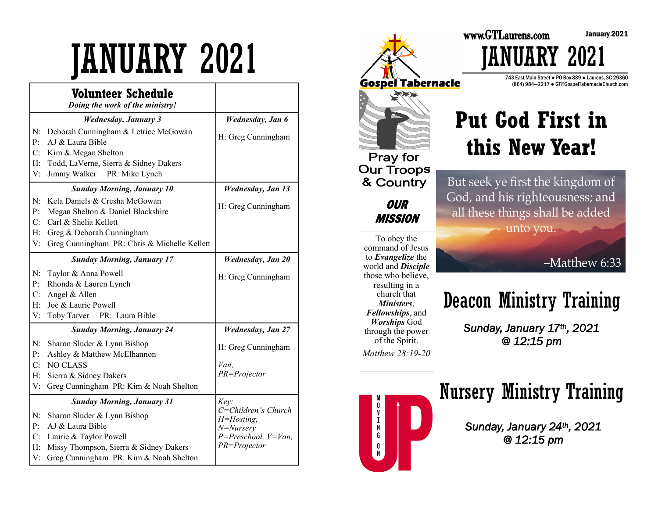# JANUARY 2021

|                                        | Volunteer Schedule<br>Doing the work of the ministry!                                                                                                         |                                                                                           |
|----------------------------------------|---------------------------------------------------------------------------------------------------------------------------------------------------------------|-------------------------------------------------------------------------------------------|
|                                        | <b>Wednesday, January 3</b>                                                                                                                                   | Wednesday, Jan 6                                                                          |
| N:<br>P:<br>C:<br>H:<br>V:             | Deborah Cunningham & Letrice McGowan<br>AJ & Laura Bible<br>Kim & Megan Shelton<br>Todd, LaVerne, Sierra & Sidney Dakers<br>Jimmy Walker PR: Mike Lynch       | H: Greg Cunningham                                                                        |
|                                        | <b>Sunday Morning, January 10</b>                                                                                                                             | <b>Wednesday, Jan 13</b>                                                                  |
| N:<br>P:<br>C:                         | Kela Daniels & Cresha McGowan<br>Megan Shelton & Daniel Blackshire<br>Carl & Shelia Kellett                                                                   | H: Greg Cunningham                                                                        |
| $H$ :<br>V:                            | Greg & Deborah Cunningham<br>Greg Cunningham PR: Chris & Michelle Kellett                                                                                     |                                                                                           |
|                                        | <b>Sunday Morning, January 17</b>                                                                                                                             | Wednesday, Jan 20                                                                         |
| N:<br>P:<br>C:<br>H:<br>V:             | Taylor & Anna Powell<br>Rhonda & Lauren Lynch<br>Angel & Allen<br>Joe & Laurie Powell<br>Toby Tarver PR: Laura Bible                                          | H: Greg Cunningham                                                                        |
|                                        | <b>Sunday Morning, January 24</b>                                                                                                                             | <b>Wednesday</b> , Jan 27                                                                 |
| N:<br>P:<br>C:<br>$H$ :<br>V:          | Sharon Sluder & Lynn Bishop<br>Ashley & Matthew McElhannon<br><b>NO CLASS</b><br>Sierra & Sidney Dakers<br>Greg Cunningham PR: Kim & Noah Shelton             | H: Greg Cunningham<br>Van.<br>PR=Projector                                                |
|                                        | <b>Sunday Morning, January 31</b>                                                                                                                             | Key:                                                                                      |
| N:<br>$\mathbf{P}$ :<br>C:<br>H:<br>V: | Sharon Sluder & Lynn Bishop<br>AJ & Laura Bible<br>Laurie & Taylor Powell<br>Missy Thompson, Sierra & Sidney Dakers<br>Greg Cunningham PR: Kim & Noah Shelton | C=Children's Church<br>H=Hosting,<br>N=Nursery<br>$P = Preschool, V=Van,$<br>PR=Projector |



#### 743 East Main Street ● PO Box 889 ● Laurens, SC 29360 (864) 984—2217 ● GT@GospelTabernacleChurch.com

*IJARY 2021* 

# **Put God First in this New Year!**

But seek ye first the kingdom of God, and his righteousness; and all these things shall be added unto you.

#### -Matthew 6:33

# Deacon Ministry Training

*Sunday, January 17th, 2021 @ 12:15 pm*



### Nursery Ministry Training

*Sunday, January 24th, 2021 @ 12:15 pm*

January 2021